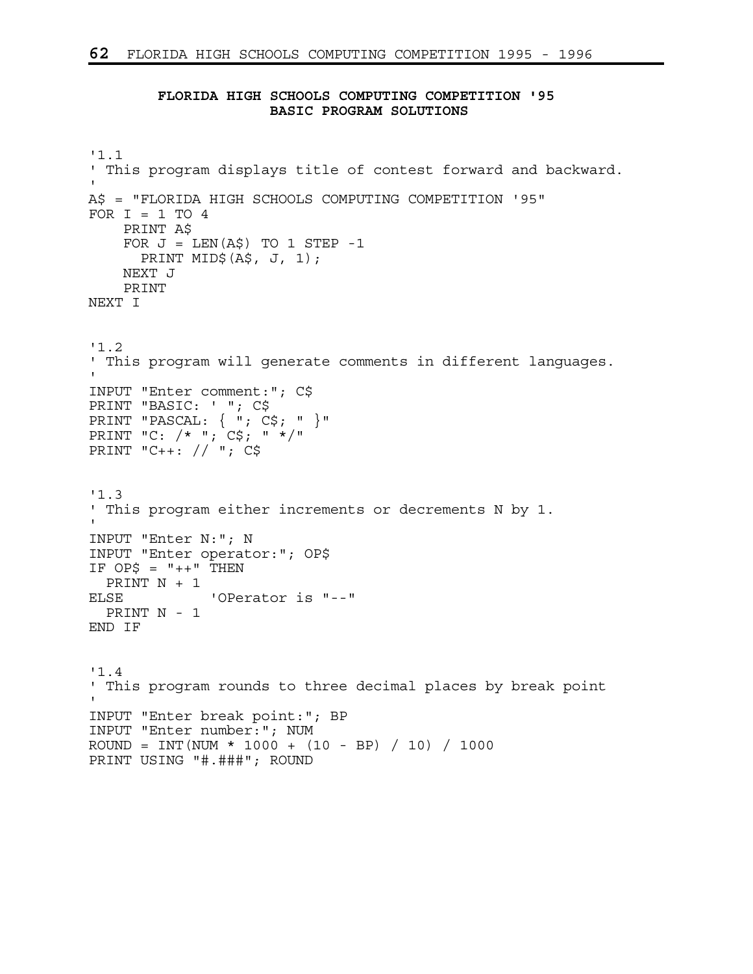## **FLORIDA HIGH SCHOOLS COMPUTING COMPETITION '95 BASIC PROGRAM SOLUTIONS**

```
'1.1 
' This program displays title of contest forward and backward. 
' 
A$ = "FLORIDA HIGH SCHOOLS COMPUTING COMPETITION '95" 
FOR I = 1 TO 4 PRINT A$ 
    FOR J = LEN(A$) TO 1 STEP -1
      PRINT MID$(A$, J, 1); 
     NEXT J 
    PRINT 
NEXT I 
'1.2 
' This program will generate comments in different languages. 
' 
INPUT "Enter comment:"; C$ 
PRINT "BASIC: ' "; C$ 
PRINT "PASCAL: { "; C$; " }" 
PRINT "C: /* "; C$; " */" 
PRINT "C++: // "; C$ 
'1.3 
' This program either increments or decrements N by 1. 
' 
INPUT "Enter N:"; N 
INPUT "Enter operator:"; OP$ 
IF OP\ = "++" THEN
  PRINT N + 1 
ELSE 'OPerator is "--" 
  PRINT N - 1 
END IF 
'1.4 
' This program rounds to three decimal places by break point 
' 
INPUT "Enter break point:"; BP 
INPUT "Enter number:"; NUM 
ROUND = INT (NUM * 1000 + (10 - BP) / 10) / 1000
PRINT USING "#.###"; ROUND
```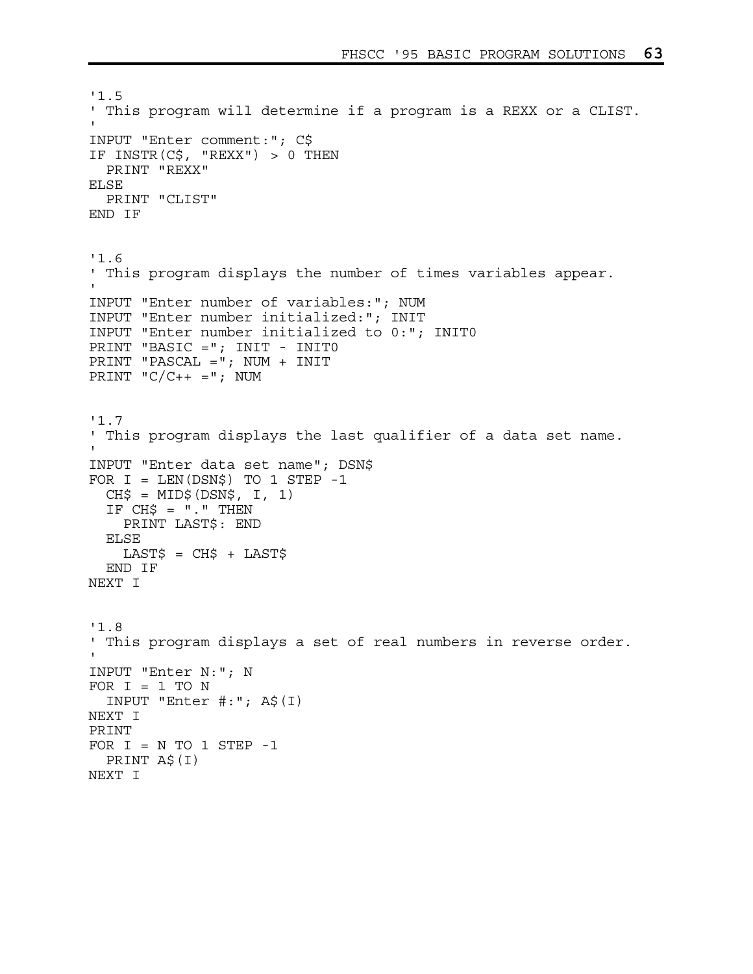```
'1.5 
' This program will determine if a program is a REXX or a CLIST. 
' 
INPUT "Enter comment:"; C$ 
IF INSTR(C$, "REXX") > 0 THEN 
  PRINT "REXX" 
ELSE 
   PRINT "CLIST" 
END IF 
'1.6 
' This program displays the number of times variables appear. 
' 
INPUT "Enter number of variables:"; NUM 
INPUT "Enter number initialized:"; INIT 
INPUT "Enter number initialized to 0:"; INIT0 
PRINT "BASIC ="; INIT - INIT0 
PRINT "PASCAL ="; NUM + INIT 
PRINT (C/C++ = "; NUM'1.7 
' This program displays the last qualifier of a data set name. 
' 
INPUT "Enter data set name"; DSN$ 
FOR I = LEN(DSN$) TO 1 STEP -1CH$ = MID$ (DSN$, I, 1)IF CHS = "." THEN PRINT LAST$: END 
   ELSE 
    LAST$ = CH$ + LAST$ END IF 
NEXT I 
'1.8 
' This program displays a set of real numbers in reverse order. 
' 
INPUT "Enter N:"; N 
FOR I = 1 TO N
   INPUT "Enter #:"; A$(I) 
NEXT I 
PRINT 
FOR I = N TO 1 STEP -1 PRINT A$(I) 
NEXT I
```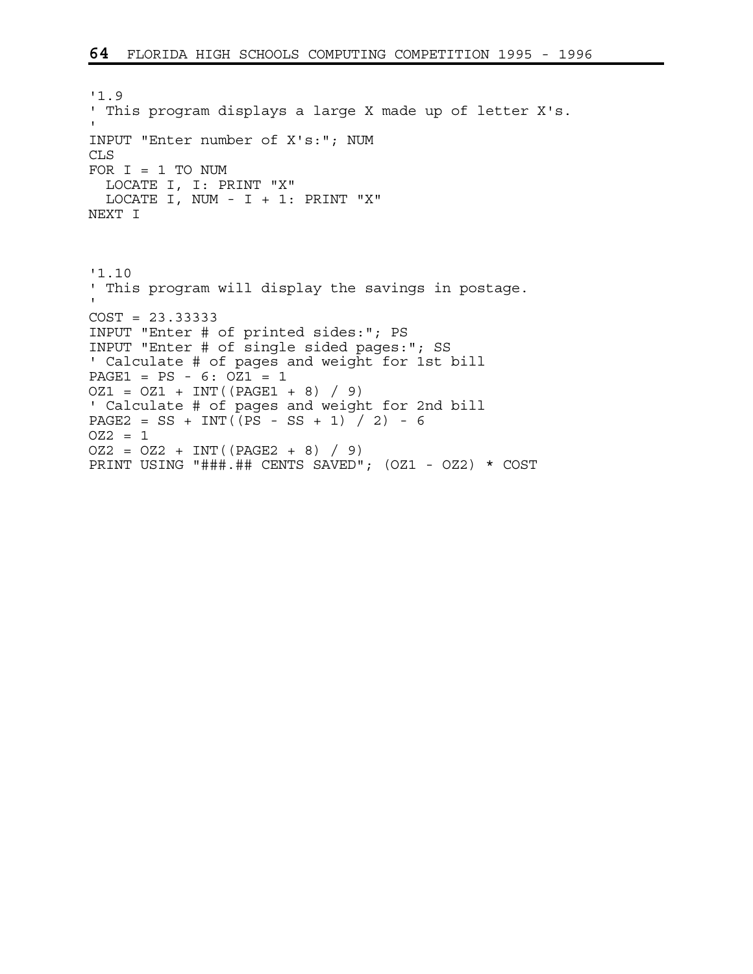'1.9 ' This program displays a large X made up of letter X's. ' INPUT "Enter number of X's:"; NUM CLS FOR  $I = 1$  TO NUM LOCATE I, I: PRINT "X" LOCATE I, NUM - I + 1: PRINT "X" NEXT I '1.10 ' This program will display the savings in postage. ' COST = 23.33333 INPUT "Enter # of printed sides:"; PS INPUT "Enter # of single sided pages:"; SS ' Calculate # of pages and weight for 1st bill  $PAGE1 = PS - 6: OZ1 = 1$  $OZ1 = OZ1 + INT((PAGE1 + 8) / 9)$ ' Calculate # of pages and weight for 2nd bill PAGE2 = SS + INT $(\overline{PS} - SS + 1) / 2$  - 6  $OZ2 = 1$  $OZ2 = OZ2 + INT((PAGE2 + 8) / 9)$ PRINT USING "###.## CENTS SAVED"; (OZ1 - OZ2) \* COST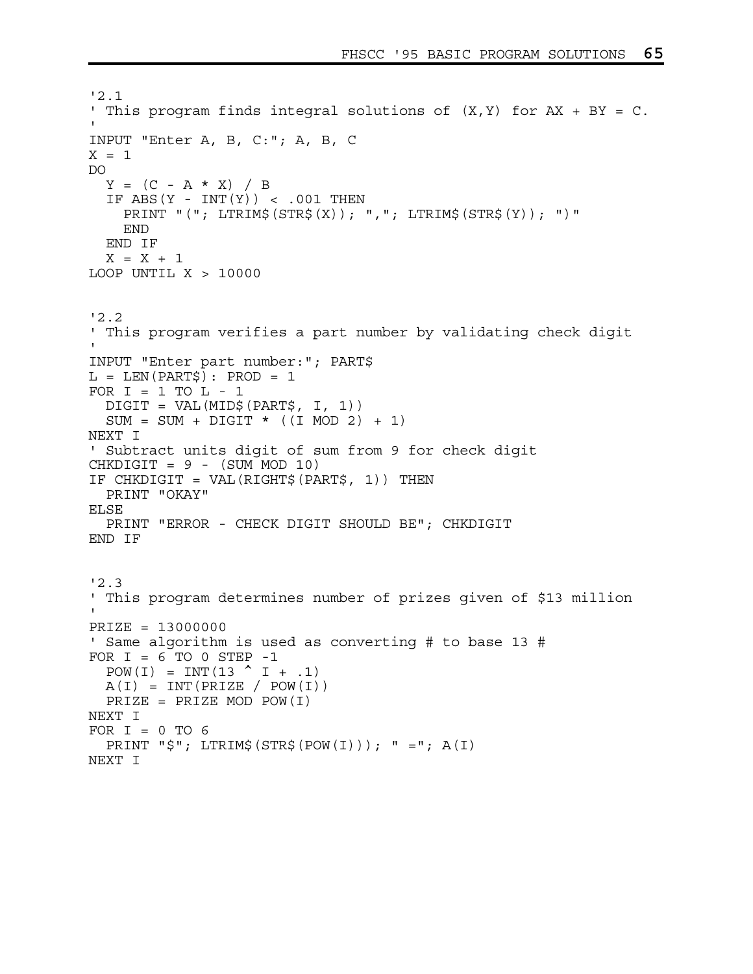```
'2.1 
' This program finds integral solutions of (X, Y) for AX + BY = C.
' 
INPUT "Enter A, B, C:"; A, B, C 
X = 1DO 
  Y = (C - A \cdot X) / BIF ABS(Y - INT(Y)) < .001 THEN
     PRINT "("; LTRIM$(STR$(X)); ","; LTRIM$(STR$(Y)); ")" 
     END 
   END IF 
  X = X + 1LOOP UNTIL X > 10000'2.2 
' This program verifies a part number by validating check digit 
' 
INPUT "Enter part number:"; PART$ 
L = LEN(PART$): PROD = 1FOR I = 1 TO L - 1 DIGIT = VAL(MID$(PART$, I, 1)) 
  SUM = SUM + DIGIT * ((I MOD 2) + 1)NEXT I 
' Subtract units digit of sum from 9 for check digit 
CHKDIGIT = 9 - (SUM MOD 10)IF CHKDIGIT = VAL(RIGHT$(PART$, 1)) THEN 
  PRINT "OKAY" 
ELSE 
   PRINT "ERROR - CHECK DIGIT SHOULD BE"; CHKDIGIT 
END IF 
'2.3 
' This program determines number of prizes given of $13 million 
' 
PRIZE = 13000000 
' Same algorithm is used as converting # to base 13 # 
FOR I = 6 TO 0 STEP -1POW(I) = INT(13 \uparrow I + .1)
 A(I) = INT(PRIZE / POW(I))PRIZE = PRIZE MOD POW(I)NEXT I 
FOR I = 0 TO 6
  PRINT "\sharp"; LTRIM\sharp (STR\sharp (POW(I))); " ="; A(I)
NEXT I
```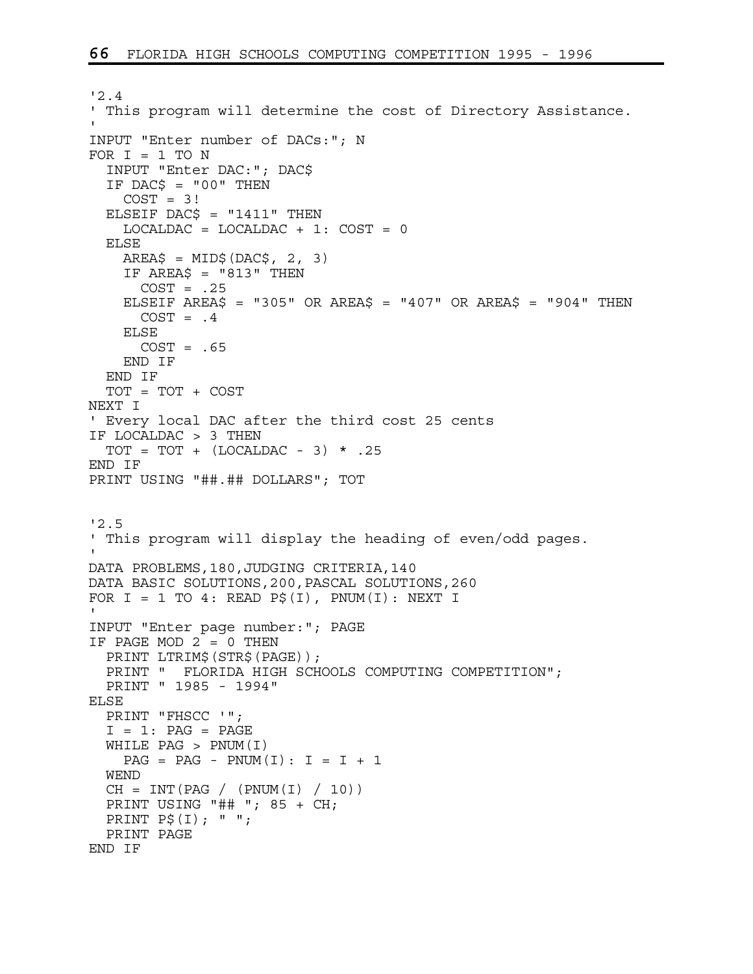```
'2.4 
' This program will determine the cost of Directory Assistance. 
' 
INPUT "Enter number of DACs:"; N 
FOR I = 1 TO N
   INPUT "Enter DAC:"; DAC$ 
  IF DACS = "00" THEN
    COST = 3!ELSEIF DAC$ = "1411" THEN
    LOCALDAC = LOCALDAC + 1: COST = 0 ELSE 
    AREA$ = MID$ (DAC$, 2, 3)IF AREA$ = "813" THEN
     COST = .25ELSEIF AREA$ = "305" OR AREA$ = "407" OR AREA$ = "904" THEN
      COST = .4 ELSE 
      COST = .65 END IF 
   END IF 
   TOT = TOT + COST 
NEXT I 
' Every local DAC after the third cost 25 cents 
IF LOCALDAC > 3 THEN 
  TOT = TOT + (LOCALDAC - 3) * .25END IF 
PRINT USING "##.## DOLLARS"; TOT 
'2.5 
' This program will display the heading of even/odd pages. 
' 
DATA PROBLEMS,180,JUDGING CRITERIA,140 
DATA BASIC SOLUTIONS,200,PASCAL SOLUTIONS,260 
FOR I = 1 TO 4: READ P\circ(I), PNUM(I): NEXT I
' 
INPUT "Enter page number:"; PAGE 
IF PAGE MOD 2 = 0 THEN 
  PRINT LTRIM$(STR$(PAGE)); 
   PRINT " FLORIDA HIGH SCHOOLS COMPUTING COMPETITION"; 
  PRINT " 1985 - 1994" 
ELSE 
   PRINT "FHSCC '"; 
  I = 1: PAG = PAGE WHILE PAG > PNUM(I) 
    PAG = PAG - PNUM(I): I = I + 1 WEND 
  CH = INT(PAG / (PNUM(I) / 10)) PRINT USING "## "; 85 + CH; 
  PRINT P$(I); " "; 
  PRINT PAGE 
END IF
```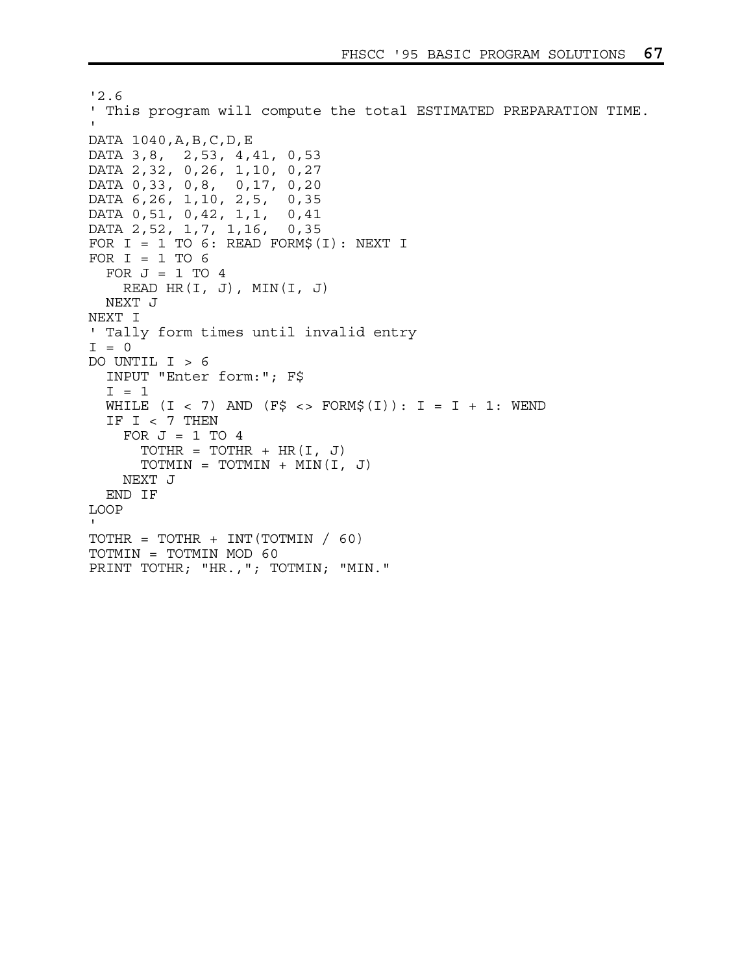```
'2.6 
' This program will compute the total ESTIMATED PREPARATION TIME. 
' 
DATA 1040,A,B,C,D,E 
DATA 3,8, 2,53, 4,41, 0,53 
DATA 2,32, 0,26, 1,10, 0,27 
DATA 0,33, 0,8, 0,17, 0,20 
DATA 6,26, 1,10, 2,5, 0,35 
DATA 0,51, 0,42, 1,1, 0,41 
DATA 2,52, 1,7, 1,16, 0,35 
FOR I = 1 TO 6: READ FORM$(I): NEXT I
FOR I = 1 TO 6
  FOR J = 1 TO 4
    READ HR(I, J), MIN(I, J) NEXT J 
NEXT I 
' Tally form times until invalid entry 
I = 0DO UNTIL I > 6 
   INPUT "Enter form:"; F$ 
  I = 1WHILE (I < 7) AND (F\zeta < > FORM\zeta(I)): I = I + 1: WEND
   IF I < 7 THEN 
    FOR J = 1 TO 4
      TOTHR = TOTHR + HR(I, J)TOTMIN = TOTMIN + MIN(I, J) NEXT J 
   END IF 
LOOP 
\mathbf ITOTHR = TOTHR + INT (TOTMIN / 60)
TOTMIN = TOTMIN MOD 60 
PRINT TOTHR; "HR., "; TOTMIN; "MIN."
```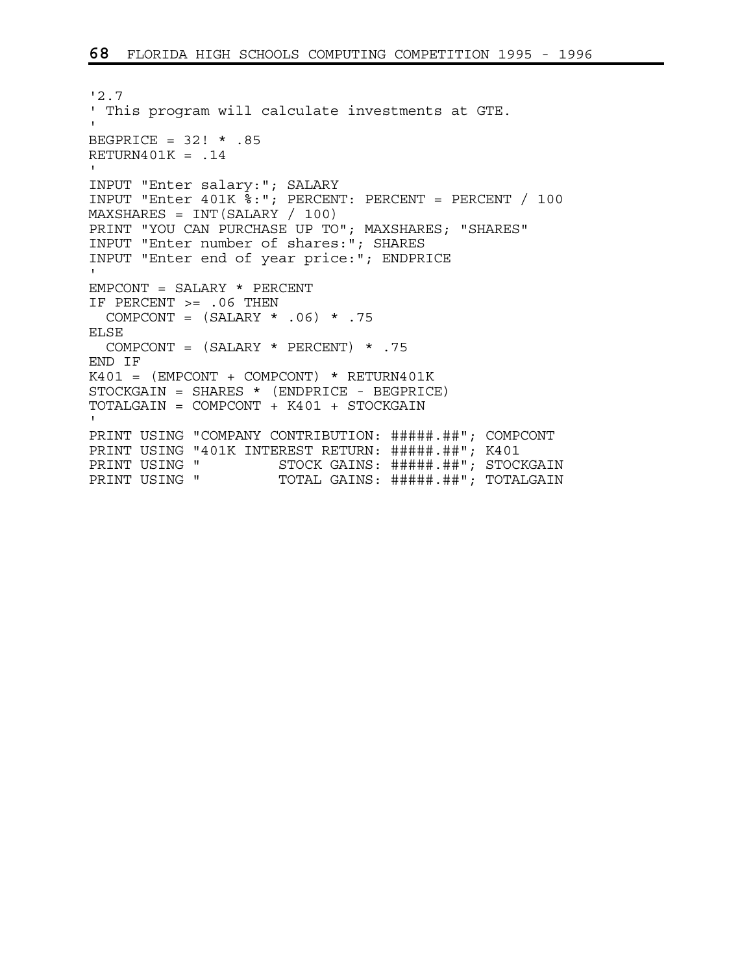```
'2.7 
' This program will calculate investments at GTE. 
' 
BEGPRICE = 32! * .85 
RETURN401K = .14 
' 
INPUT "Enter salary:"; SALARY 
INPUT "Enter 401K %:"; PERCENT: PERCENT = PERCENT / 100 
MAXSHARES = INT(SALARY / 100) 
PRINT "YOU CAN PURCHASE UP TO"; MAXSHARES; "SHARES"
INPUT "Enter number of shares:"; SHARES 
INPUT "Enter end of year price:"; ENDPRICE 
' 
EMPCONT = SALARY * PERCENT 
IF PERCENT >= .06 THEN 
 COMPCONT = (SALARY * .06) * .75ELSE 
  COMPCONT = (SALARY * PERCENT) * .75END IF 
K401 = (EMPCONT + COMPCONT) * RETURN401KSTOCKGAIN = SHARES * (ENDPRICE - BEGPRICE) 
TOTALGAIN = COMPCONT + K401 + STOCKGAIN 
' 
PRINT USING "COMPANY CONTRIBUTION: #####.##"; COMPCONT
PRINT USING "401K INTEREST RETURN: #####.##"; K401
PRINT USING " STOCK GAINS: #####.##"; STOCKGAIN<br>PRINT USING " TOTAL GAINS: #####.##"; TOTALGAIN
                      TOTAL GAINS: #####.##"; TOTALGAIN
```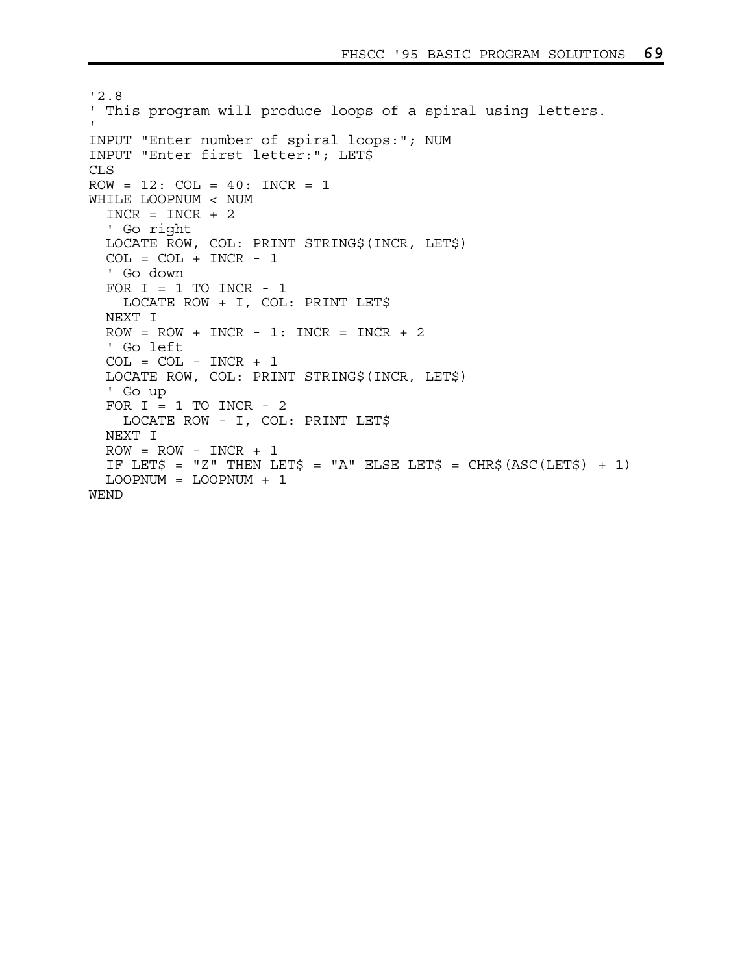```
'2.8 
' This program will produce loops of a spiral using letters. 
' 
INPUT "Enter number of spiral loops:"; NUM 
INPUT "Enter first letter:"; LET$ 
CLS 
ROW = 12: COL = 40: INCR = 1WHILE LOOPNUM < NUM 
  INCR = INCR + 2 ' Go right 
  LOCATE ROW, COL: PRINT STRING$(INCR, LET$) 
  COL = COL + INCR - 1 ' Go down 
  FOR I = 1 TO INCR - 1
     LOCATE ROW + I, COL: PRINT LET$ 
   NEXT I 
  ROW = Row + INCR - 1: INCR = INCR + 2 ' Go left 
  COL = COL - INCR + 1 LOCATE ROW, COL: PRINT STRING$(INCR, LET$) 
   ' Go up 
  FOR I = 1 TO INCR - 2
     LOCATE ROW - I, COL: PRINT LET$ 
  NEXT I 
  ROW = Row - INCR + 1IF LET$ = "Z" THEN LET$ = "A" ELSE LET$ = CHR$(ASC(LET$) + 1)
  LOOPNUM = LOOPNUM + 1 
WEND
```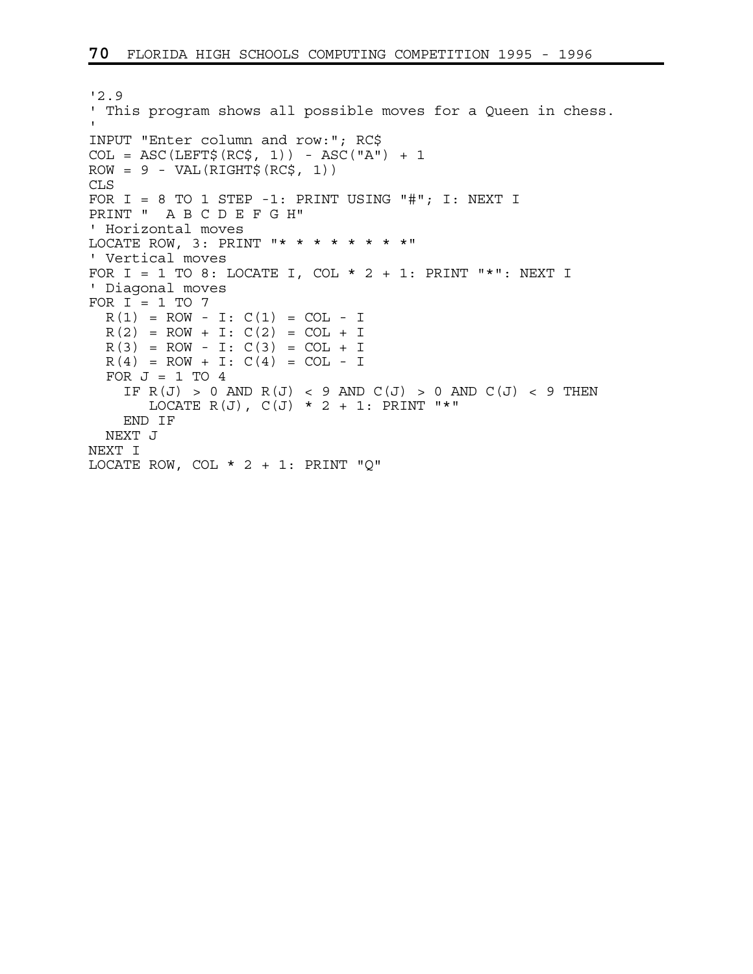```
'2.9 
' This program shows all possible moves for a Queen in chess. 
' 
INPUT "Enter column and row:"; RC$ 
COL = ASC(LEFT$(RC$, 1)) - ASC("A") + 1ROW = 9 - VAL(RIGHT$ (RC$, 1))CLS 
FOR I = 8 TO 1 STEP -1: PRINT USING "#"; I: NEXT I
PRINT " A B C D E F G H" 
' Horizontal moves 
LOCATE ROW, 3: PRINT "* * * * * * * *" 
' Vertical moves 
FOR I = 1 TO 8: LOCATE I, COL * 2 + 1: PRINT "*": NEXT I
' Diagonal moves 
FOR I = 1 TO 7
 R(1) = ROW - I: C(1) = COL - IR(2) = ROW + I: C(2) = COL + IR(3) = ROW - I: C(3) = COL + IR(4) = ROW + I: C(4) = COL - IFOR J = 1 TO 4
    IF R(J) > 0 AND R(J) < 9 AND C(J) > 0 AND C(J) < 9 THEN
      LOCATE R(J), C(J) * 2 + 1: PRINT "*"
    END IF 
  NEXT J 
NEXT I 
LOCATE ROW, COL * 2 + 1: PRINT "Q"
```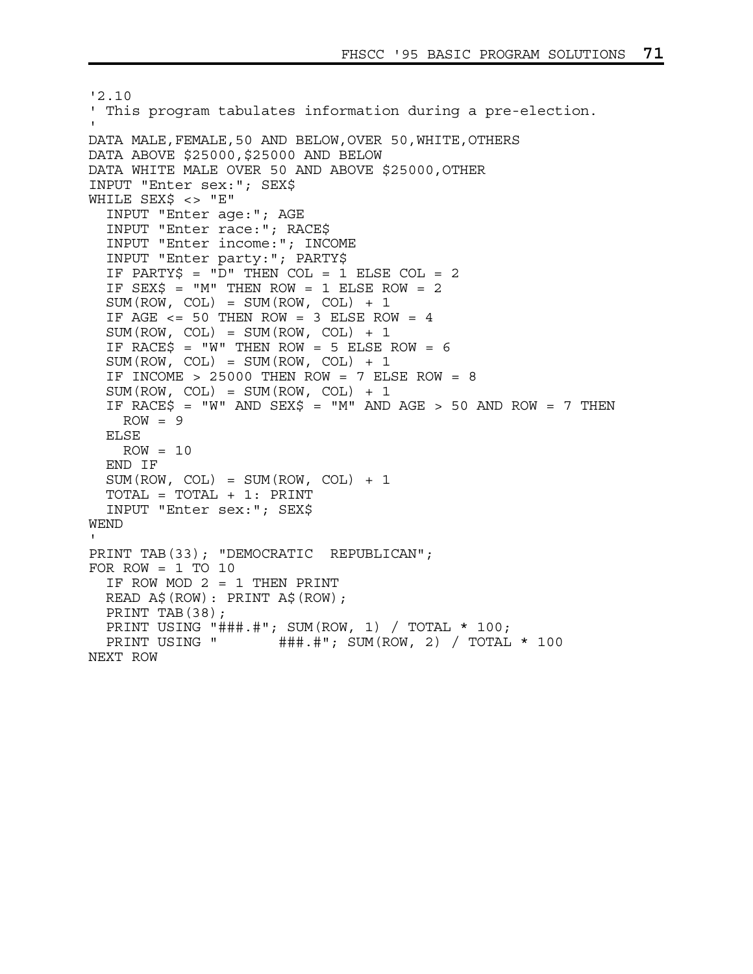```
'2.10 
' This program tabulates information during a pre-election. 
' 
DATA MALE,FEMALE,50 AND BELOW,OVER 50,WHITE,OTHERS 
DATA ABOVE $25000,$25000 AND BELOW 
DATA WHITE MALE OVER 50 AND ABOVE $25000,OTHER 
INPUT "Enter sex:"; SEX$ 
WHILE SEX$ <> "E" 
   INPUT "Enter age:"; AGE 
   INPUT "Enter race:"; RACE$ 
   INPUT "Enter income:"; INCOME 
   INPUT "Enter party:"; PARTY$ 
   IF PARTY$ = "D" THEN COL = 1 ELSE COL = 2 
  IF SEX\zeta = "M" THEN ROW = 1 ELSE ROW = 2
  SUM(ROW, COL) = SUM(ROW, COL) + 1IF AGE <= 50 THEN ROW = 3 ELSE ROW = 4SUM(ROW, COL) = SUM(ROW, COL) + 1IF RACE$ = "W" THEN ROW = 5 ELSE ROW = 6SUM(ROW, COL) = SUM(ROW, COL) + 1IF INCOME > 25000 THEN ROW = 7 ELSE ROW = 8
  SUM(ROW, COL) = SUM(ROW, COL) + 1IF RACE$ = "W" AND SEX$ = "M" AND AGE > 50 AND ROW = 7 THEN
    ROW = 9 ELSE 
    ROW = 10 END IF 
  SUM(ROW, COL) = SUM(ROW, COL) + 1 TOTAL = TOTAL + 1: PRINT 
   INPUT "Enter sex:"; SEX$ 
WEND 
' 
PRINT TAB(33); "DEMOCRATIC REPUBLICAN"; 
FOR ROW = 1 TO 10
   IF ROW MOD 2 = 1 THEN PRINT 
   READ A$(ROW): PRINT A$(ROW); 
   PRINT TAB(38); 
  PRINT USING "###.#"; SUM(ROW, 1) / TOTAL * 100;<br>PRINT USING "###.#"; SUM(ROW, 2) / TOTAL
                       \# \# \# \# \cdot \# \cdot SUM(ROW, 2) / TOTAL * 100
NEXT ROW
```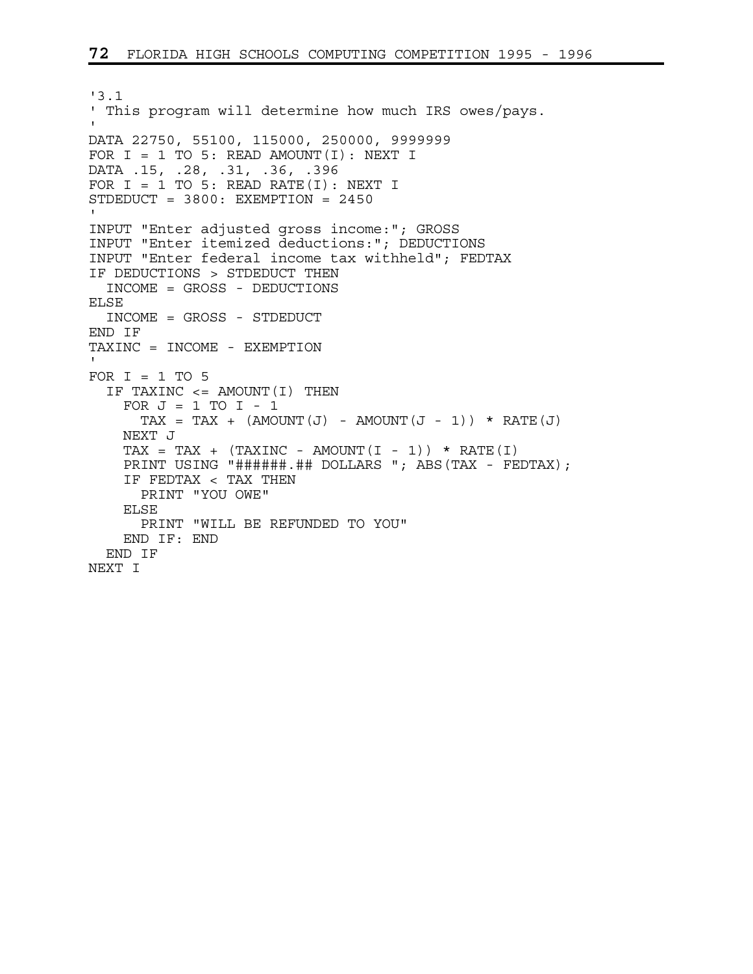```
'3.1 
' This program will determine how much IRS owes/pays. 
' 
DATA 22750, 55100, 115000, 250000, 9999999 
FOR I = 1 TO 5: READ AMOUNT(I): NEXT I
DATA .15, .28, .31, .36, .396 
FOR I = 1 TO 5: READ RATE(I): NEXT I
STDEDUCT = 3800: EXEMPTION = 2450 
' 
INPUT "Enter adjusted gross income:"; GROSS 
INPUT "Enter itemized deductions:"; DEDUCTIONS 
INPUT "Enter federal income tax withheld"; FEDTAX 
IF DEDUCTIONS > STDEDUCT THEN 
  INCOME = GROSS - DEDUCTIONS 
ELSE 
   INCOME = GROSS - STDEDUCT 
END IF 
TAXINC = INCOME - EXEMPTION 
' 
FOR I = 1 TO 5
   IF TAXINC <= AMOUNT(I) THEN 
    FOR J = 1 TO I - 1TAX = TAX + (AMOUNT(J) - AMOUNT(J - 1)) * RATE(J) NEXT J 
    TAX = TAX + (TAXINC - AMOUNT(I - 1)) * RATE(I)PRINT USING "######.## DOLLARS "; ABS(TAX - FEDTAX);
     IF FEDTAX < TAX THEN 
       PRINT "YOU OWE" 
     ELSE 
       PRINT "WILL BE REFUNDED TO YOU" 
     END IF: END 
   END IF 
NEXT I
```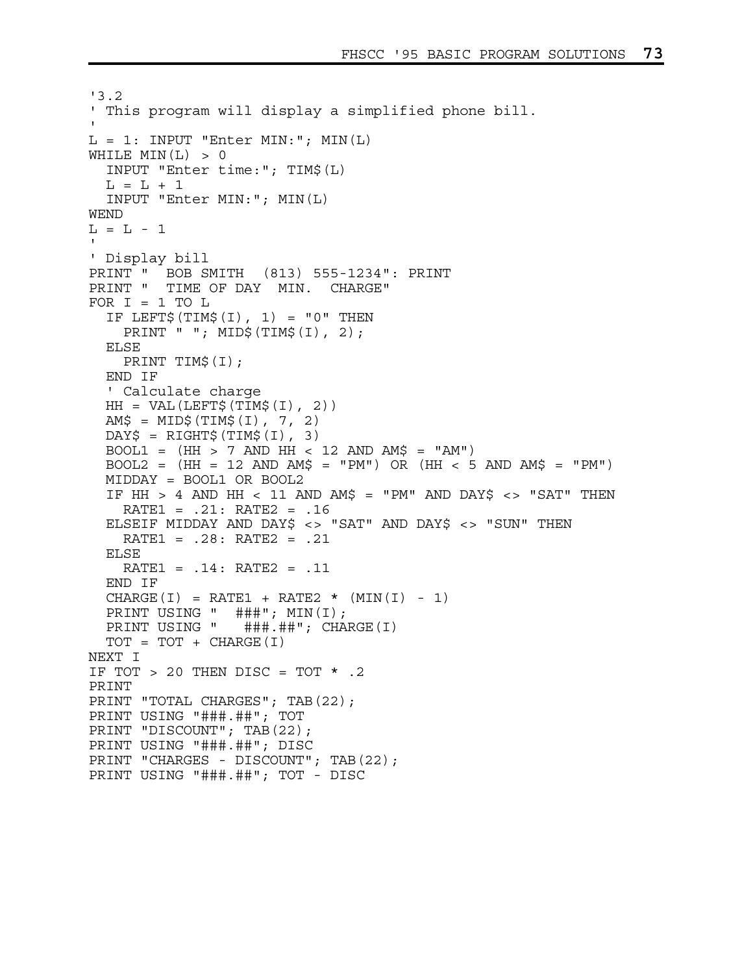```
'3.2 
' This program will display a simplified phone bill. 
' 
L = 1: INPUT "Enter MIN:"; MIN(L)
WHILE MIN(L) > 0 INPUT "Enter time:"; TIM$(L) 
 L = L + 1 INPUT "Enter MIN:"; MIN(L) 
WEND 
L = L - 1' 
' Display bill 
PRINT " BOB SMITH (813) 555-1234": PRINT 
PRINT " TIME OF DAY MIN. CHARGE" 
FOR I = 1 TO LIF LEFT$(TIM$(I), 1) = "0" THEN PRINT " "; MID$(TIM$(I), 2); 
   ELSE 
    PRINT TIM$(I); 
   END IF 
   ' Calculate charge 
  HH = VAL(LEFF\ (TIM$ (I), 2))
  AMS = MID$ (TIM$ (I), 7, 2)DAY\ = RIGHT\zeta(TIM\zeta(I), 3)BOOL1 = (HH > 7 AND HH < 12 AND AM$ = "AM")BOOL2 = (HH = 12 AND AM$ = "PM") OR (HH < 5 AND AM$ = "PM") MIDDAY = BOOL1 OR BOOL2 
  IF HH > 4 AND HH < 11 AND AM$ = "PM" AND DAY$ <> "SAT" THEN
    RATE1 = .21: RATE2 = .16 
   ELSEIF MIDDAY AND DAY$ <> "SAT" AND DAY$ <> "SUN" THEN 
     RATE1 = .28: RATE2 = .21 
   ELSE 
     RATE1 = .14: RATE2 = .11 
   END IF 
  CHARGE(I) = RATE1 + RATE2 * (MIN(I) - 1) PRINT USING " ###"; MIN(I); 
  PRINT USING " ###.##"; CHARGE(I)
  TOT = TOT + CHARGE(I)NEXT I 
IF TOT > 20 THEN DISC = TOT * .2
PRINT 
PRINT "TOTAL CHARGES"; TAB(22);
PRINT USING "###.##"; TOT 
PRINT "DISCOUNT"; TAB(22);
PRINT USING "###.##"; DISC 
PRINT "CHARGES - DISCOUNT"; TAB(22);
PRINT USING "###.##"; TOT - DISC
```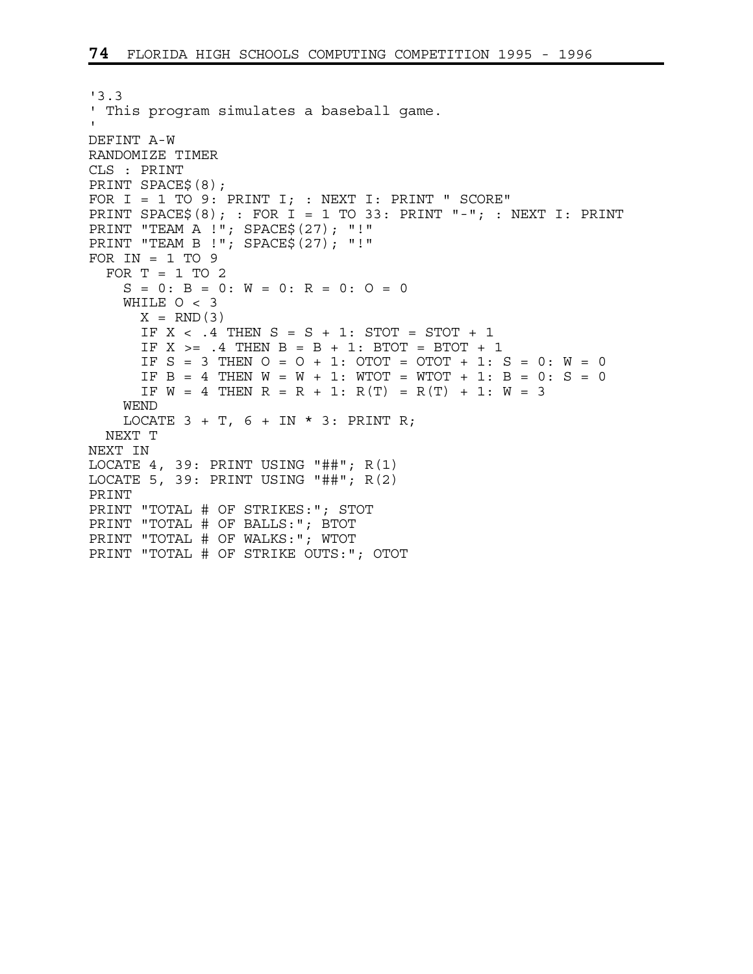```
'3.3 
' This program simulates a baseball game. 
' 
DEFINT A-W 
RANDOMIZE TIMER 
CLS : PRINT 
PRINT SPACE$(8); 
FOR I = 1 TO 9: PRINT I; : NEXT I: PRINT " SCORE"
PRINT SPACE$(8); : FOR I = 1 TO 33: PRINT "-"; : NEXT I: PRINT
PRINT "TEAM A !"; SPACE$(27); "!" 
PRINT "TEAM B !"; SPACE$(27); "!" 
FOR IN = 1 TO 9FOR T = 1 TO 2
   S = 0: B = 0: W = 0: R = 0: O = 0 WHILE O < 3 
      X = RND(3)IF X < .4 THEN S = S + 1: STOT = STOT + 1
      IF X >= .4 THEN B = B + 1: BTOT = BTOT + 1
      IF S = 3 THEN O = O + 1: OTOT = OTOT + 1: S = 0: W = 0IF B = 4 THEN W = W + 1: WTOT = WTOT + 1: B = 0: S = 0IF W = 4 THEN R = R + 1: R(T) = R(T) + 1: W = 3 WEND 
    LOCATE 3 + T, 6 + IN * 3: PRINT R;
  NEXT T 
NEXT IN 
LOCATE 4, 39: PRINT USING "##"; R(1) 
LOCATE 5, 39: PRINT USING "##"; R(2) 
PRINT 
PRINT "TOTAL # OF STRIKES:"; STOT 
PRINT "TOTAL # OF BALLS:"; BTOT 
PRINT "TOTAL # OF WALKS:"; WTOT 
PRINT "TOTAL # OF STRIKE OUTS:"; OTOT
```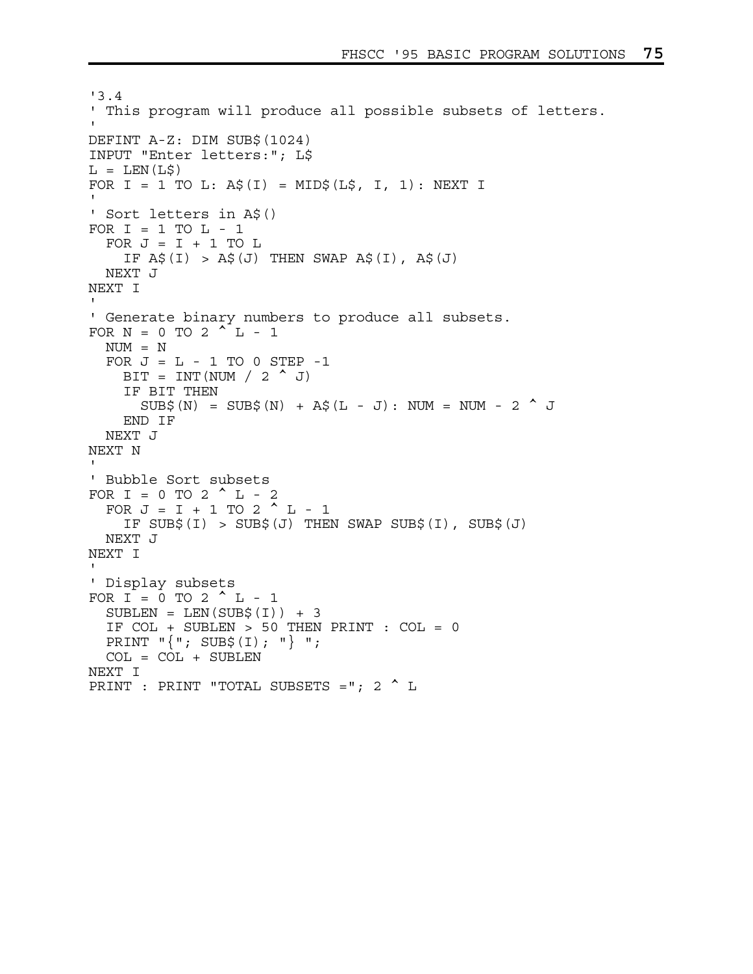```
'3.4 
' This program will produce all possible subsets of letters. 
' 
DEFINT A-Z: DIM SUB$(1024) 
INPUT "Enter letters:"; L$ 
L = LEN(L$)FOR I = 1 TO L: A$(I) = MID$(L$, I, 1): NEXT I
' 
' Sort letters in A$() 
FOR I = 1 TO L - 1FOR J = I + 1 TO L
    IF A\sharp(I) > A\sharp(J) THEN SWAP A\sharp(I), A\sharp(J) NEXT J 
NEXT I 
' 
' Generate binary numbers to produce all subsets. 
FOR N = 0 TO 2^L L - 1 NUM = N 
  FOR J = L - 1 TO 0 STEP -1BIT = INT(NUM / 2 ^ J) IF BIT THEN 
      SUB$(N) = SUB$(N) + A$(L - J): NUM = NUM - 2 ^ J END IF 
   NEXT J 
NEXT N 
' 
' Bubble Sort subsets 
FOR I = 0 TO 2 ^{\wedge} L - 2
  FOR J = I + 1 TO 2 ^{\wedge} L - 1
    IF SUB$(I) > SUB$(J) THEN SWAP SUB$(I), SUB$(J) NEXT J 
NEXT I 
' 
' Display subsets 
FOR I = 0 TO 2 ^{\wedge} L - 1
  SUBLEN = LEN(SUB$(I)) + 3 IF COL + SUBLEN > 50 THEN PRINT : COL = 0 
  PRINT "\{ " ; SUB$(I); " } " ;COL = COL + SUBLENNEXT I 
PRINT : PRINT "TOTAL SUBSETS ="; 2 ^ L
```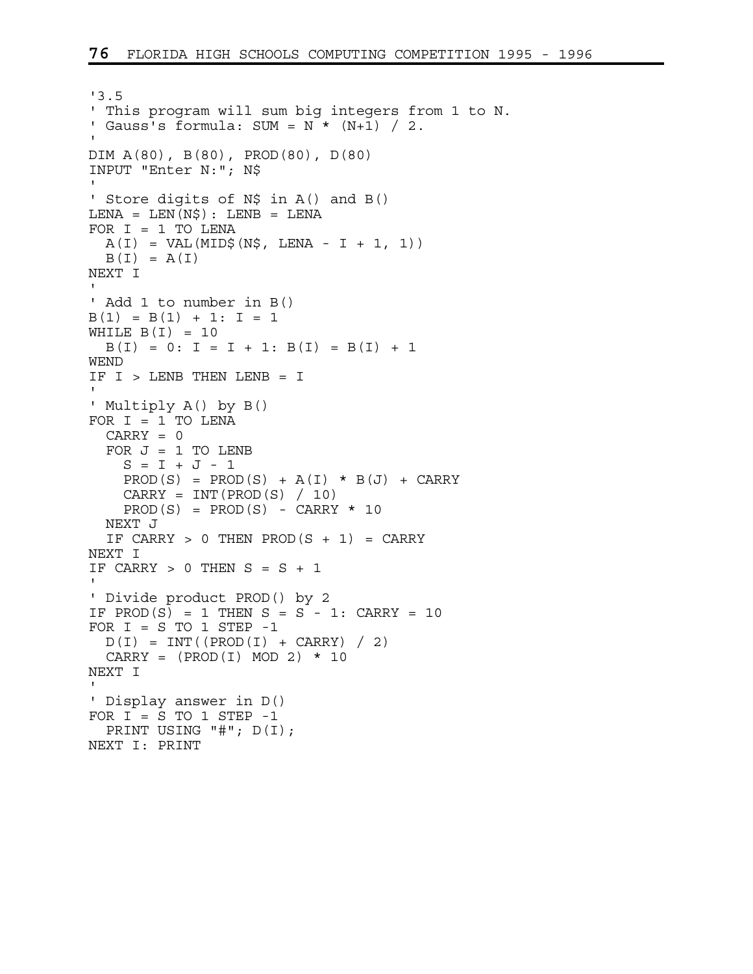```
'3.5 
' This program will sum big integers from 1 to N. 
' Gauss's formula: SUM = N * (N+1) / 2.
' 
DIM A(80), B(80), PROD(80), D(80) 
INPUT "Enter N:"; N$ 
' 
' Store digits of N$ in A() and B()
LENA = LEN(N$): LENB = LENAFOR I = 1 TO LENA
 A(I) = VAL(MID$ (N$, LENA - I + 1, 1))B(I) = A(I)NEXT I 
' 
' Add 1 to number in B() 
B(1) = B(1) + 1: I = 1WHILE B(I) = 10B(I) = 0: I = I + 1: B(I) = B(I) + 1WEND 
IF I > LENB THEN LENB = I' 
' Multiply A() by B() 
FOR I = 1 TO LENA
  CARRY = 0FOR J = 1 TO LENB
   S = I + J - 1PROD(S) = PROD(S) + A(I) * B(J) + CARRYCARRY = INT(PROD(S) / 10)PROD(S) = PROD(S) - CARRY * 10 NEXT J 
 IF CARRY > 0 THEN PROD(S + 1) = CARRY
NEXT I 
IF CARRY > 0 THEN S = S + 1' 
' Divide product PROD() by 2 
IF PROD(S) = 1 THEN S = S - 1: CARRY = 10
FOR I = S TO 1 STEP -1D(I) = INT((PROD(I) + CARRY) / 2)CARRY = (PROD(I) MOD 2) * 10NEXT I 
' 
' Display answer in D() 
FOR I = S TO 1 STEP -1 PRINT USING "#"; D(I); 
NEXT I: PRINT
```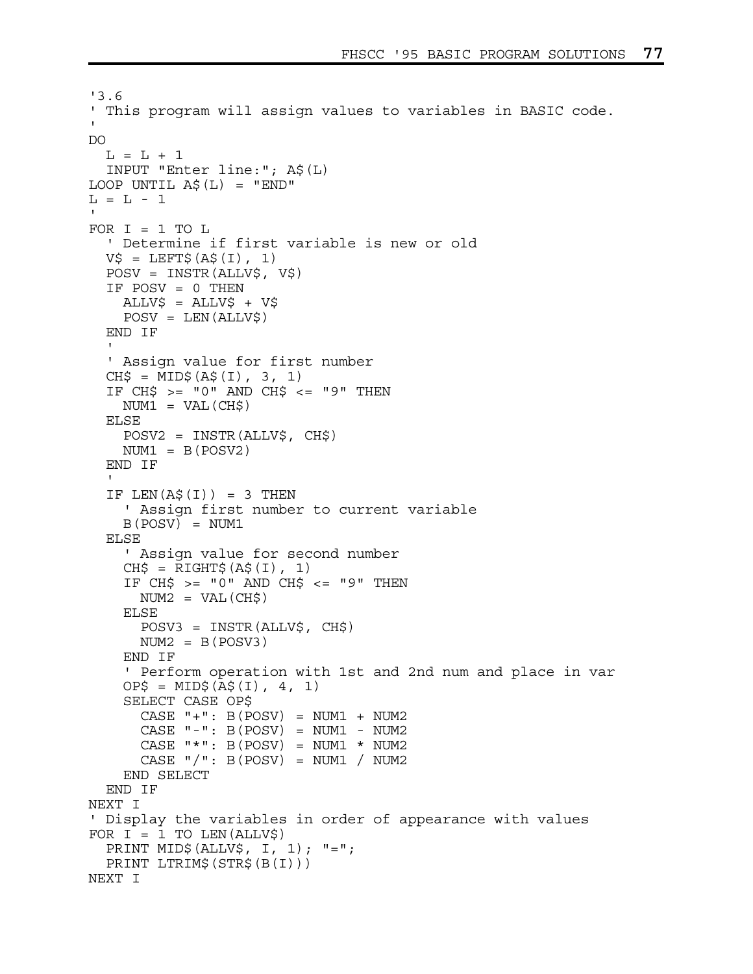```
'3.6 
' This program will assign values to variables in BASIC code. 
' 
DO 
  L = L + 1 INPUT "Enter line:"; A$(L) 
LOOP UNTIL A\hat{S}(L) = "END"L = L - 1' 
FOR I = 1 TO L ' Determine if first variable is new or old 
  V\{S} = \text{LEFTS}(\text{AS}(I), 1)
   POSV = INSTR(ALLV$, V$) 
   IF POSV = 0 THEN 
    ALLV$ = ALLV$ + V$ POSV = LEN(ALLV$) 
   END IF 
  \blacksquare ' Assign value for first number 
  CH\ = MID\(A\<sub>5</sub>(I), 3, 1)</sub>
   IF CH$ >= "0" AND CH$ <= "9" THEN 
    NUM1 = VAL(CH$) ELSE 
     POSV2 = INSTR(ALLV$, CH$) 
    NUM1 = B(POSV2) END IF 
'' U
  IF LEN(A\sharp(I)) = 3 THEN
     ' Assign first number to current variable 
    B(POSV) = NUM1 ELSE 
     ' Assign value for second number 
    CH$ = RIGHT$ (A$ (I), 1) IF CH$ >= "0" AND CH$ <= "9" THEN 
      NUM2 = VAL(CH$) ELSE 
       POSV3 = INSTR(ALLV$, CH$) 
      NUM2 = B(POSV3) END IF 
     ' Perform operation with 1st and 2nd num and place in var 
    OP\ = MID\zeta (A\zeta (I), 4, 1)
     SELECT CASE OP$ 
      CASE "+": B(POSV) = NUM1 + NUM2
      CASE " -" : B(POSV) = NUM1 - NUM2CASE "*": B(POSV) = NUM1 * NUM2
      CASE \sqrt{''}: B(POSV) = NUM1 / NUM2
     END SELECT 
   END IF 
NEXT I 
' Display the variables in order of appearance with values 
FOR I = 1 TO LEN(ALLV$)
   PRINT MID$(ALLV$, I, 1); "="; 
   PRINT LTRIM$(STR$(B(I))) 
NEXT I
```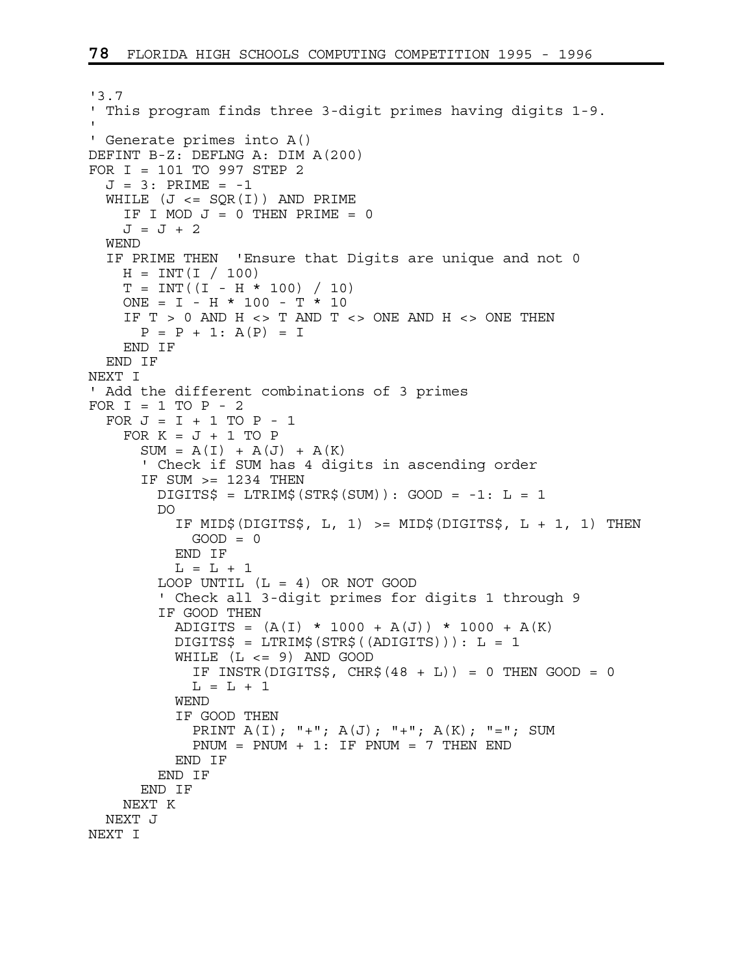```
'3.7 
' This program finds three 3-digit primes having digits 1-9. 
' 
' Generate primes into A() 
DEFINT B-Z: DEFLNG A: DIM A(200) 
FOR I = 101 TO 997 STEP 2 
  J = 3: PRIME = -1WHILE (J \leq SQR(I)) AND PRIME
    IF I MOD J = 0 THEN PRIME = 0
    J = J + 2 WEND 
   IF PRIME THEN 'Ensure that Digits are unique and not 0 
    H = INT(I / 100)T = INT((I - H * 100) / 10)ONE = I - H * 100 - T * 10IF T > 0 AND H <> T AND T <> ONE AND H <> ONE THEN
      P = P + 1: A(P) = I
     END IF 
   END IF 
NEXT I 
' Add the different combinations of 3 primes 
FOR I = 1 TO P - 2FOR J = I + 1 TO P - 1FOR K = J + 1 TO P
      SUM = A(I) + A(J) + A(K) ' Check if SUM has 4 digits in ascending order 
       IF SUM >= 1234 THEN 
        DIGITS$ = LTRIM$ (STR$ (SUM)) : GOOD = -1: L = 1 DO 
           IF MID$(DIGITS$, L, 1) >= MID$(DIGITS$, L + 1, 1) THEN 
           GOOD = 0 END IF 
          L = L + 1LOOP UNTIL (L = 4) OR NOT GOOD
         ' Check all 3-digit primes for digits 1 through 9 
         IF GOOD THEN 
          ADIGITS = (A(I) * 1000 + A(J)) * 1000 + A(K) DIGITS$ = LTRIM$(STR$((ADIGITS))): L = 1 
          WHILE (L \leq 9) AND GOOD
            IF INSTR(DIGITS$, CHR$(48 + L)) = 0 THEN GOOD = 0
            L = L + 1 WEND 
           IF GOOD THEN 
            PRINT A(I); "+"; A(J); "+"; A(K); "="; SUM
            PNUM = PNUM + 1: IF PNUM = 7 THEN END END IF 
         END IF 
       END IF 
    NEXT K 
  NEXT J 
NEXT I
```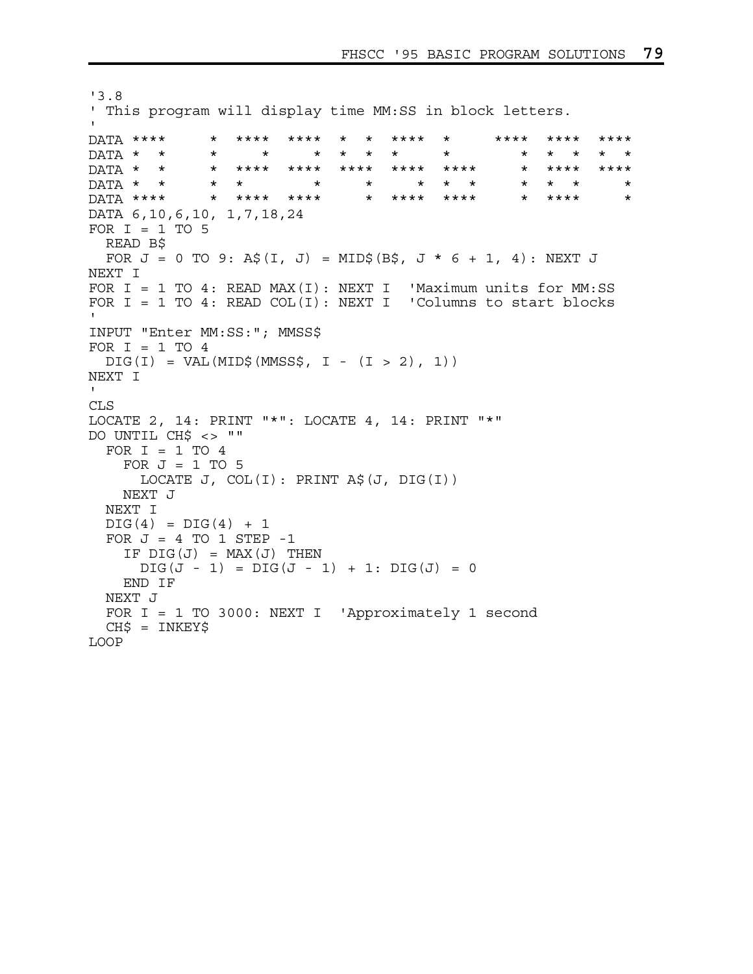```
'3.8 
' This program will display time MM:SS in block letters. 
' 
DATA **** * **** **** * * **** * **** **** **** 
DATA * * * * * * * * * * * * * * 
DATA * * * **** **** **** **** **** * **** **** 
DATA * * * * * * * * * * * * * 
DATA **** * **** **** * **** **** * **** * 
DATA 6,10,6,10, 1,7,18,24 
FOR I = 1 TO 5
  READ B$ 
 FOR J = 0 TO 9: A$(I, J) = MID$(B$, J * 6 + 1, 4): NEXT J
NEXT I 
FOR I = 1 TO 4: READ MAX(I): NEXT I 'Maximum units for MM:SS
FOR I = 1 TO 4: READ COL(I): NEXT I 'Columns to start blocks
' 
INPUT "Enter MM:SS:"; MMSS$ 
FOR I = 1 TO 4DIG(I) = VAL(MID$ (MMSS$, I - (I > 2), 1))NEXT I 
\mathbf{I} .
CLS 
LOCATE 2, 14: PRINT "*": LOCATE 4, 14: PRINT "*" 
DO UNTIL CH$ <> "" 
 FOR I = 1 TO 4FOR J = 1 TO 5
      LOCATE J, COL(I): PRINT A$(J, DIG(I)) 
    NEXT J 
  NEXT I 
 DIG(4) = DIG(4) + 1FOR J = 4 TO 1 STEP -1IF DIG(J) = MAX(J) THEN
     DIG(J - 1) = DIG(J - 1) + 1: DIG(J) = 0 END IF 
  NEXT J 
   FOR I = 1 TO 3000: NEXT I 'Approximately 1 second 
  CH$ = INKEY$LOOP
```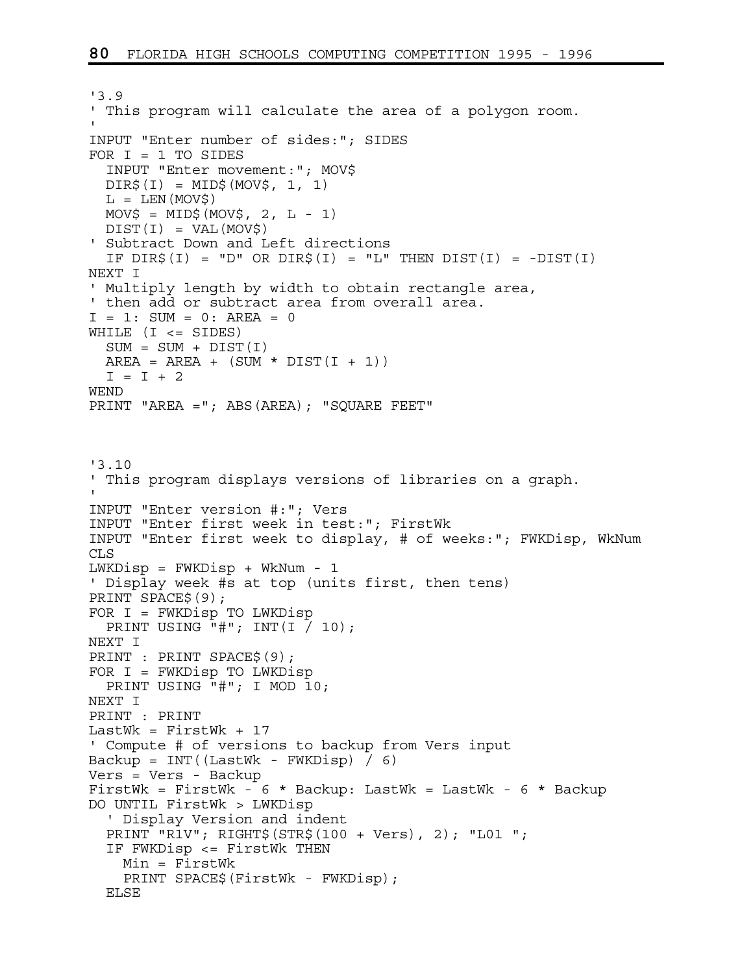```
'3.9 
' This program will calculate the area of a polygon room. 
' 
INPUT "Enter number of sides:"; SIDES 
FOR I = 1 TO SIDES 
   INPUT "Enter movement:"; MOV$ 
 DIR$(I) = MID$(MOV$, 1, 1)L = LEN(MOV$)MOV$ = MID$ (MOV$ , 2, L - 1)DIST(I) = VAL(MOV$)' Subtract Down and Left directions 
 IF DIR\zeta(I) = "D" OR DIR\zeta(I) = "L" THEN DIST(I) = -DIST(I)NEXT I 
' Multiply length by width to obtain rectangle area, 
' then add or subtract area from overall area. 
I = 1: SUM = 0: AREA = 0
WHILE (I \leq SIDES)SUM = SUM + DIST(I)AREA = AREA + (SUM * DIST(I + 1))I = I + 2WEND 
PRINT "AREA ="; ABS(AREA); "SQUARE FEET" 
'3.10 
' This program displays versions of libraries on a graph. 
' 
INPUT "Enter version #:"; Vers 
INPUT "Enter first week in test:"; FirstWk 
INPUT "Enter first week to display, # of weeks:"; FWKDisp, WkNum 
CLS 
LWKDisp = FWKDisp + WkNum - 1 
' Display week #s at top (units first, then tens) 
PRINT SPACE$(9); 
FOR I = FWKDisp TO LWKDisp 
  PRINT USING "\text{\#}"; INT(I / 10);
NEXT I 
PRINT : PRINT SPACE$(9); 
FOR I = FWKDisp TO LWKDisp 
   PRINT USING "#"; I MOD 10; 
NEXT I 
PRINT : PRINT 
LastWk = FirstWk + 17' Compute # of versions to backup from Vers input 
Backup = INT((LastWk - FWKDisp) / 6)Vers = Vers - Backup 
FirstWk = FirstWk - 6 * Backup: LastWk = LastWk - 6 * Backup 
DO UNTIL FirstWk > LWKDisp 
   ' Display Version and indent 
   PRINT "R1V"; RIGHT$(STR$(100 + Vers), 2); "L01 "; 
   IF FWKDisp <= FirstWk THEN 
     Min = FirstWk 
     PRINT SPACE$(FirstWk - FWKDisp); 
   ELSE
```